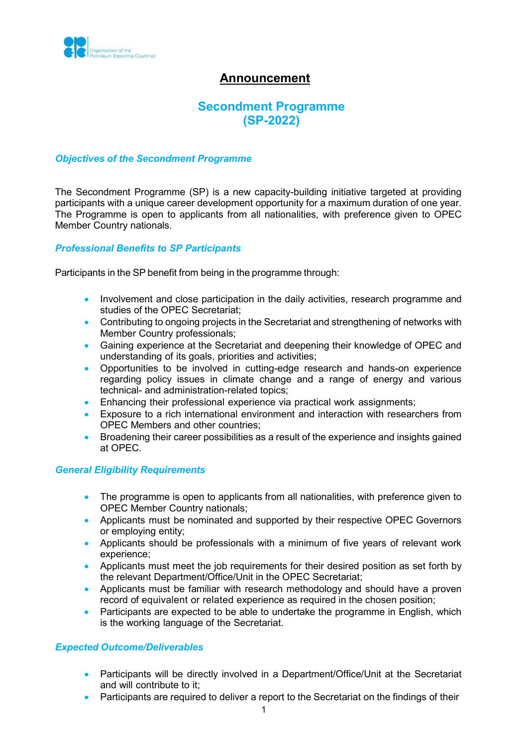

## **Announcement**

# **Secondment Programme (SP-2022)**

#### *Objectives of the Secondment Programme*

The Secondment Programme (SP) is a new capacity-building initiative targeted at providing participants with a unique career development opportunity for a maximum duration of one year. The Programme is open to applicants from all nationalities, with preference given to OPEC Member Country nationals.

#### *Professional Benefits to SP Participants*

Participants in the SP benefit from being in the programme through:

- Involvement and close participation in the daily activities, research programme and studies of the OPEC Secretariat;
- Contributing to ongoing projects in the Secretariat and strengthening of networks with Member Country professionals;
- Gaining experience at the Secretariat and deepening their knowledge of OPEC and understanding of its goals, priorities and activities;
- Opportunities to be involved in cutting-edge research and hands-on experience regarding policy issues in climate change and a range of energy and various technical- and administration-related topics;
- Enhancing their professional experience via practical work assignments;
- Exposure to a rich international environment and interaction with researchers from OPEC Members and other countries;
- Broadening their career possibilities as a result of the experience and insights gained at OPEC.

#### *General Eligibility Requirements*

- The programme is open to applicants from all nationalities, with preference given to OPEC Member Country nationals;
- Applicants must be nominated and supported by their respective OPEC Governors or employing entity;
- Applicants should be professionals with a minimum of five years of relevant work experience;
- Applicants must meet the job requirements for their desired position as set forth by the relevant Department/Office/Unit in the OPEC Secretariat;
- Applicants must be familiar with research methodology and should have a proven record of equivalent or related experience as required in the chosen position;
- Participants are expected to be able to undertake the programme in English, which is the working language of the Secretariat.

#### *Expected Outcome/Deliverables*

- Participants will be directly involved in a Department/Office/Unit at the Secretariat and will contribute to it;
- Participants are required to deliver a report to the Secretariat on the findings of their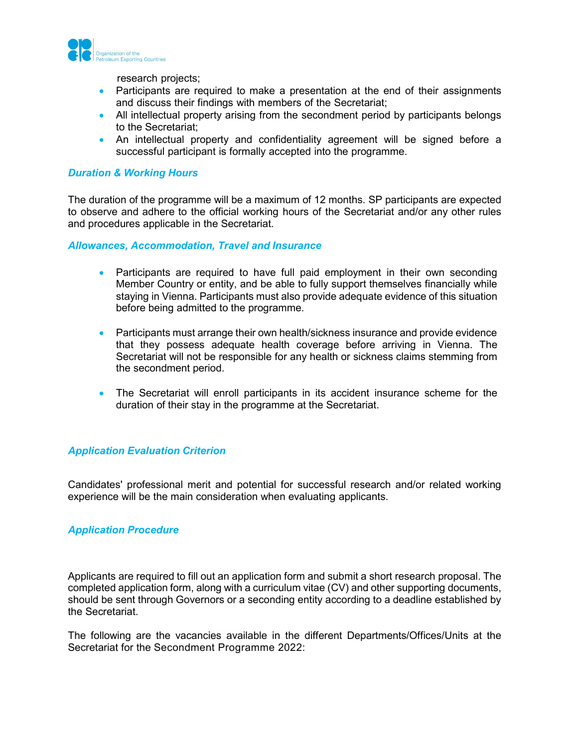

research projects;

- Participants are required to make a presentation at the end of their assignments and discuss their findings with members of the Secretariat;
- All intellectual property arising from the secondment period by participants belongs to the Secretariat;
- An intellectual property and confidentiality agreement will be signed before a successful participant is formally accepted into the programme.

#### *Duration & Working Hours*

The duration of the programme will be a maximum of 12 months. SP participants are expected to observe and adhere to the official working hours of the Secretariat and/or any other rules and procedures applicable in the Secretariat.

*Allowances, Accommodation, Travel and Insurance*

- Participants are required to have full paid employment in their own seconding Member Country or entity, and be able to fully support themselves financially while staying in Vienna. Participants must also provide adequate evidence of this situation before being admitted to the programme.
- Participants must arrange their own health/sickness insurance and provide evidence that they possess adequate health coverage before arriving in Vienna. The Secretariat will not be responsible for any health or sickness claims stemming from the secondment period.
- The Secretariat will enroll participants in its accident insurance scheme for the duration of their stay in the programme at the Secretariat.

#### *Application Evaluation Criterion*

Candidates' professional merit and potential for successful research and/or related working experience will be the main consideration when evaluating applicants.

#### *Application Procedure*

Applicants are required to fill out an application form and submit a short research proposal. The completed application form, along with a curriculum vitae (CV) and other supporting documents, should be sent through Governors or a seconding entity according to a deadline established by the Secretariat.

The following are the vacancies available in the different Departments/Offices/Units at the Secretariat for the Secondment Programme 2022: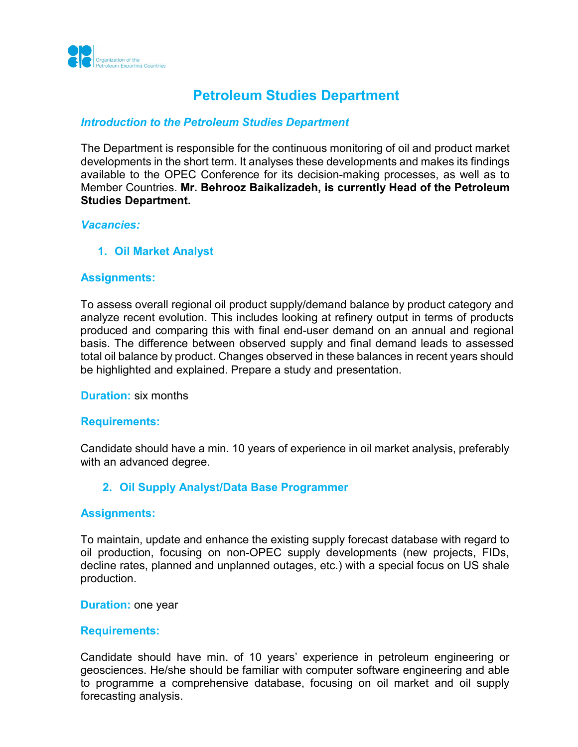

# **Petroleum Studies Department**

## *Introduction to the Petroleum Studies Department*

The Department is responsible for the continuous monitoring of oil and product market developments in the short term. It analyses these developments and makes its findings available to the OPEC Conference for its decision-making processes, as well as to Member Countries. **Mr. Behrooz Baikalizadeh, is currently Head of the Petroleum Studies Department.**

#### *Vacancies:*

**1. Oil Market Analyst**

## **Assignments:**

To assess overall regional oil product supply/demand balance by product category and analyze recent evolution. This includes looking at refinery output in terms of products produced and comparing this with final end-user demand on an annual and regional basis. The difference between observed supply and final demand leads to assessed total oil balance by product. Changes observed in these balances in recent years should be highlighted and explained. Prepare a study and presentation.

#### **Duration:** six months

#### **Requirements:**

Candidate should have a min. 10 years of experience in oil market analysis, preferably with an advanced degree.

## **2. Oil Supply Analyst/Data Base Programmer**

#### **Assignments:**

To maintain, update and enhance the existing supply forecast database with regard to oil production, focusing on non-OPEC supply developments (new projects, FIDs, decline rates, planned and unplanned outages, etc.) with a special focus on US shale production.

#### **Duration:** one year

#### **Requirements:**

Candidate should have min. of 10 years' experience in petroleum engineering or geosciences. He/she should be familiar with computer software engineering and able to programme a comprehensive database, focusing on oil market and oil supply forecasting analysis.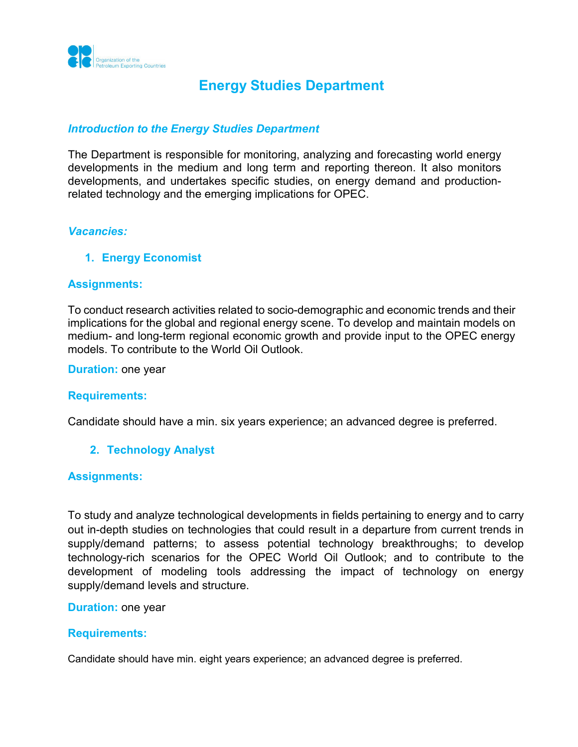

# **Energy Studies Department**

## *Introduction to the Energy Studies Department*

The Department is responsible for monitoring, analyzing and forecasting world energy developments in the medium and long term and reporting thereon. It also monitors developments, and undertakes specific studies, on energy demand and productionrelated technology and the emerging implications for OPEC.

#### *Vacancies:*

#### **1. Energy Economist**

#### **Assignments:**

To conduct research activities related to socio-demographic and economic trends and their implications for the global and regional energy scene. To develop and maintain models on medium- and long-term regional economic growth and provide input to the OPEC energy models. To contribute to the World Oil Outlook.

**Duration:** one year

#### **Requirements:**

Candidate should have a min. six years experience; an advanced degree is preferred.

#### **2. Technology Analyst**

#### **Assignments:**

To study and analyze technological developments in fields pertaining to energy and to carry out in-depth studies on technologies that could result in a departure from current trends in supply/demand patterns; to assess potential technology breakthroughs; to develop technology-rich scenarios for the OPEC World Oil Outlook; and to contribute to the development of modeling tools addressing the impact of technology on energy supply/demand levels and structure.

#### **Duration: one year**

#### **Requirements:**

Candidate should have min. eight years experience; an advanced degree is preferred.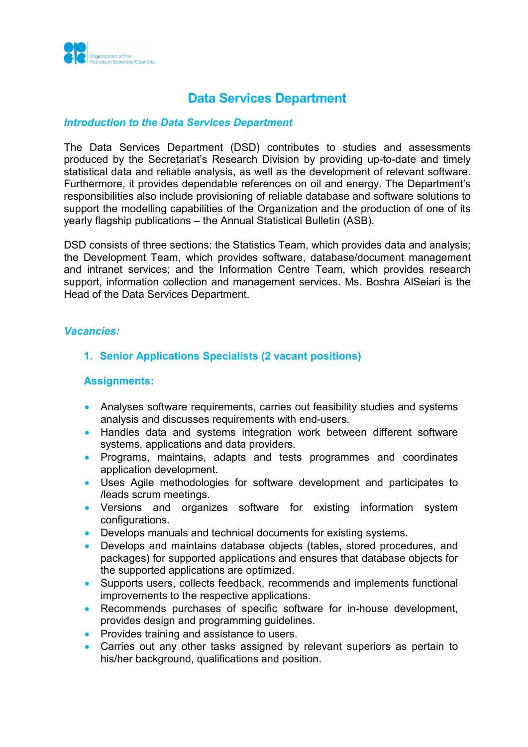

# **Data Services Department**

## *Introduction to the Data Services Department*

The Data Services Department (DSD) contributes to studies and assessments produced by the Secretariat's Research Division by providing up-to-date and timely statistical data and reliable analysis, as well as the development of relevant software. Furthermore, it provides dependable references on oil and energy. The Department's responsibilities also include provisioning of reliable database and software solutions to support the modelling capabilities of the Organization and the production of one of its yearly flagship publications – the Annual Statistical Bulletin (ASB).

DSD consists of three sections: the Statistics Team, which provides data and analysis; the Development Team, which provides software, database/document management and intranet services; and the Information Centre Team, which provides research support, information collection and management services. Ms. Boshra AlSeiari is the Head of the Data Services Department.

#### *Vacancies:*

## **1. Senior Applications Specialists (2 vacant positions)**

#### **Assignments:**

- Analyses software requirements, carries out feasibility studies and systems analysis and discusses requirements with end-users.
- Handles data and systems integration work between different software systems, applications and data providers.
- Programs, maintains, adapts and tests programmes and coordinates application development.
- Uses Agile methodologies for software development and participates to /leads scrum meetings.
- Versions and organizes software for existing information system configurations.
- Develops manuals and technical documents for existing systems.
- Develops and maintains database objects (tables, stored procedures, and packages) for supported applications and ensures that database objects for the supported applications are optimized.
- Supports users, collects feedback, recommends and implements functional improvements to the respective applications.
- Recommends purchases of specific software for in-house development, provides design and programming guidelines.
- Provides training and assistance to users.
- Carries out any other tasks assigned by relevant superiors as pertain to his/her background, qualifications and position.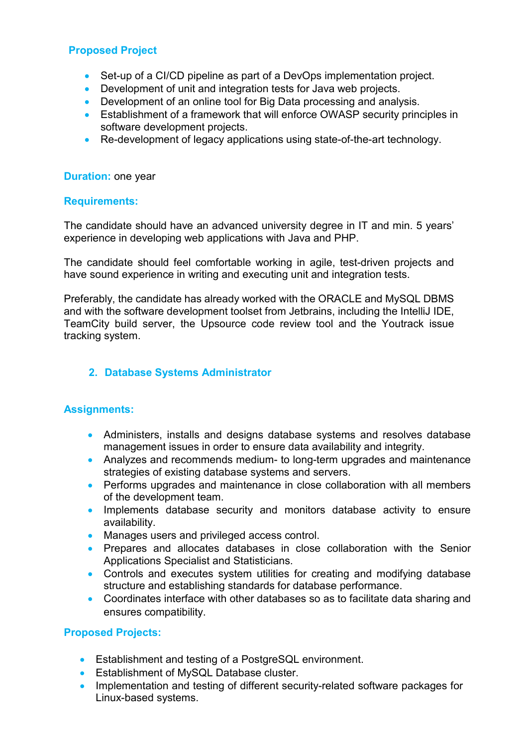## **Proposed Project**

- Set-up of a CI/CD pipeline as part of a DevOps implementation project.
- Development of unit and integration tests for Java web projects.
- Development of an online tool for Big Data processing and analysis.
- Establishment of a framework that will enforce OWASP security principles in software development projects.
- Re-development of legacy applications using state-of-the-art technology.

## **Duration:** one year

#### **Requirements:**

The candidate should have an advanced university degree in IT and min. 5 years' experience in developing web applications with Java and PHP.

The candidate should feel comfortable working in agile, test-driven projects and have sound experience in writing and executing unit and integration tests.

Preferably, the candidate has already worked with the ORACLE and MySQL DBMS and with the software development toolset from Jetbrains, including the IntelliJ IDE, TeamCity build server, the Upsource code review tool and the Youtrack issue tracking system.

## **2. Database Systems Administrator**

## **Assignments:**

- Administers, installs and designs database systems and resolves database management issues in order to ensure data availability and integrity.
- Analyzes and recommends medium- to long-term upgrades and maintenance strategies of existing database systems and servers.
- Performs upgrades and maintenance in close collaboration with all members of the development team.
- Implements database security and monitors database activity to ensure availability.
- Manages users and privileged access control.
- Prepares and allocates databases in close collaboration with the Senior Applications Specialist and Statisticians.
- Controls and executes system utilities for creating and modifying database structure and establishing standards for database performance.
- Coordinates interface with other databases so as to facilitate data sharing and ensures compatibility.

## **Proposed Projects:**

- Establishment and testing of a PostgreSQL environment.
- Establishment of MySQL Database cluster.
- Implementation and testing of different security-related software packages for Linux-based systems.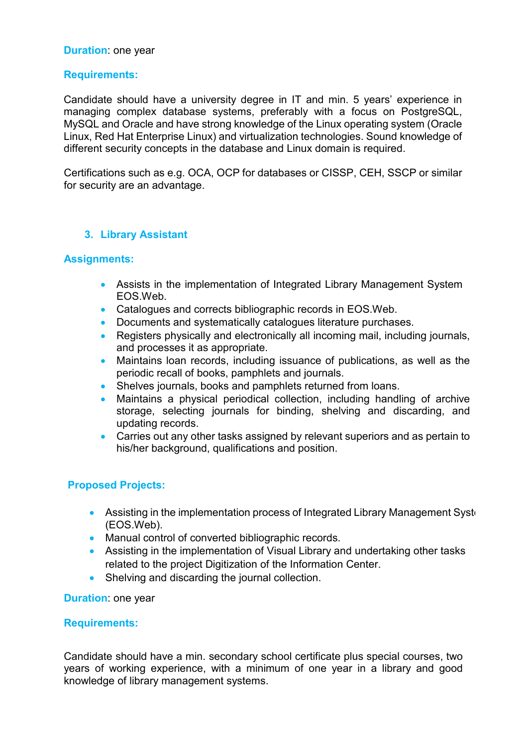## **Duration**: one year

## **Requirements:**

Candidate should have a university degree in IT and min. 5 years' experience in managing complex database systems, preferably with a focus on PostgreSQL, MySQL and Oracle and have strong knowledge of the Linux operating system (Oracle Linux, Red Hat Enterprise Linux) and virtualization technologies. Sound knowledge of different security concepts in the database and Linux domain is required.

Certifications such as e.g. OCA, OCP for databases or CISSP, CEH, SSCP or similar for security are an advantage.

## **3. Library Assistant**

#### **Assignments:**

- Assists in the implementation of Integrated Library Management System EOS.Web.
- Catalogues and corrects bibliographic records in EOS. Web.
- Documents and systematically catalogues literature purchases.
- Registers physically and electronically all incoming mail, including journals, and processes it as appropriate.
- Maintains loan records, including issuance of publications, as well as the periodic recall of books, pamphlets and journals.
- Shelves journals, books and pamphlets returned from loans.
- Maintains a physical periodical collection, including handling of archive storage, selecting journals for binding, shelving and discarding, and updating records.
- Carries out any other tasks assigned by relevant superiors and as pertain to his/her background, qualifications and position.

## **Proposed Projects:**

- Assisting in the implementation process of Integrated Library Management Syste (EOS.Web).
- Manual control of converted bibliographic records.
- Assisting in the implementation of Visual Library and undertaking other tasks related to the project Digitization of the Information Center.
- Shelving and discarding the journal collection.

**Duration**: one year

#### **Requirements:**

Candidate should have a min. secondary school certificate plus special courses, two years of working experience, with a minimum of one year in a library and good knowledge of library management systems.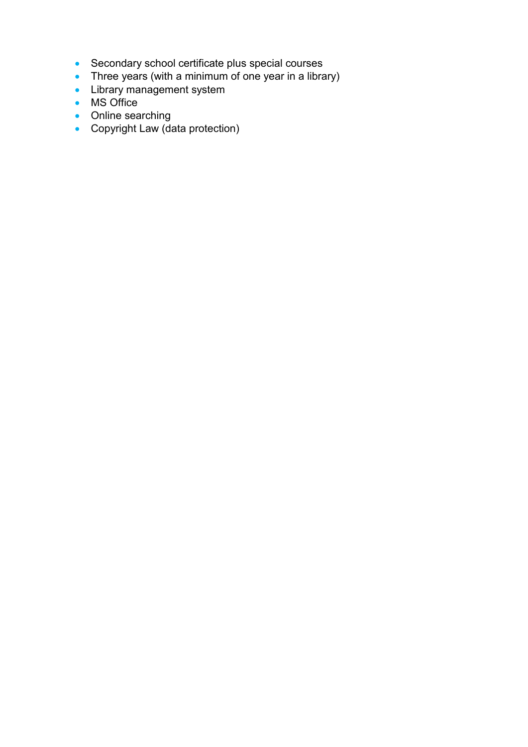- Secondary school certificate plus special courses
- Three years (with a minimum of one year in a library)
- Library management system
- MS Office
- Online searching
- Copyright Law (data protection)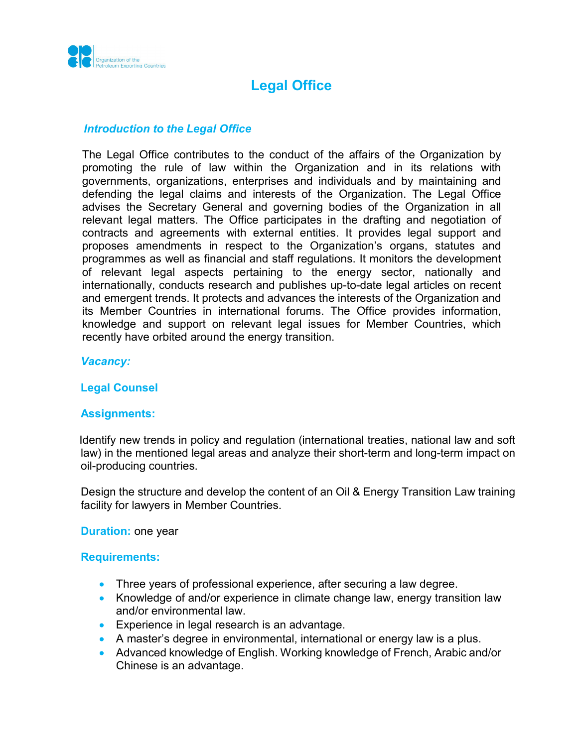

# **Legal Office**

### *Introduction to the Legal Office*

The Legal Office contributes to the conduct of the affairs of the Organization by promoting the rule of law within the Organization and in its relations with governments, organizations, enterprises and individuals and by maintaining and defending the legal claims and interests of the Organization. The Legal Office advises the Secretary General and governing bodies of the Organization in all relevant legal matters. The Office participates in the drafting and negotiation of contracts and agreements with external entities. It provides legal support and proposes amendments in respect to the Organization's organs, statutes and programmes as well as financial and staff regulations. It monitors the development of relevant legal aspects pertaining to the energy sector, nationally and internationally, conducts research and publishes up-to-date legal articles on recent and emergent trends. It protects and advances the interests of the Organization and its Member Countries in international forums. The Office provides information, knowledge and support on relevant legal issues for Member Countries, which recently have orbited around the energy transition.

#### *Vacancy:*

## **Legal Counsel**

## **Assignments:**

 Identify new trends in policy and regulation (international treaties, national law and soft law) in the mentioned legal areas and analyze their short-term and long-term impact on oil-producing countries.

Design the structure and develop the content of an Oil & Energy Transition Law training facility for lawyers in Member Countries.

**Duration:** one year

#### **Requirements:**

- Three years of professional experience, after securing a law degree.
- Knowledge of and/or experience in climate change law, energy transition law and/or environmental law.
- Experience in legal research is an advantage.
- A master's degree in environmental, international or energy law is a plus.
- Advanced knowledge of English. Working knowledge of French, Arabic and/or Chinese is an advantage.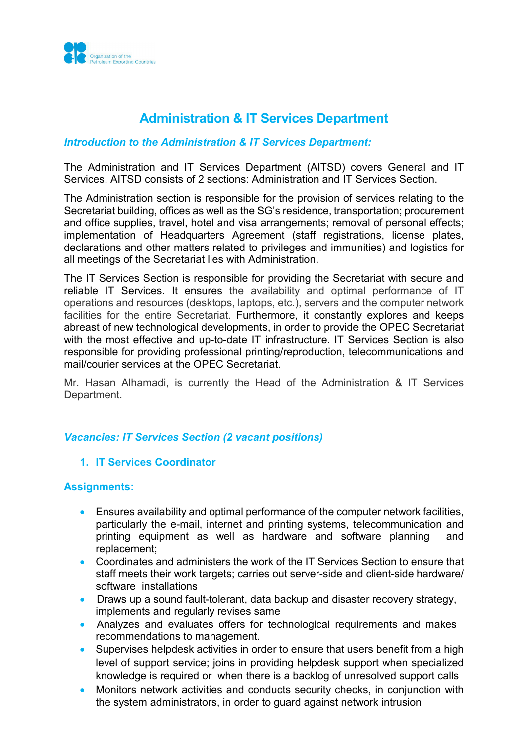

# **Administration & IT Services Department**

## *Introduction to the Administration & IT Services Department:*

The Administration and IT Services Department (AITSD) covers General and IT Services. AITSD consists of 2 sections: Administration and IT Services Section.

The Administration section is responsible for the provision of services relating to the Secretariat building, offices as well as the SG's residence, transportation; procurement and office supplies, travel, hotel and visa arrangements; removal of personal effects; implementation of Headquarters Agreement (staff registrations, license plates, declarations and other matters related to privileges and immunities) and logistics for all meetings of the Secretariat lies with Administration.

The IT Services Section is responsible for providing the Secretariat with secure and reliable IT Services. It ensures the availability and optimal performance of IT operations and resources (desktops, laptops, etc.), servers and the computer network facilities for the entire Secretariat. Furthermore, it constantly explores and keeps abreast of new technological developments, in order to provide the OPEC Secretariat with the most effective and up-to-date IT infrastructure. IT Services Section is also responsible for providing professional printing/reproduction, telecommunications and mail/courier services at the OPEC Secretariat.

Mr. Hasan Alhamadi, is currently the Head of the Administration & IT Services Department.

## *Vacancies: IT Services Section (2 vacant positions)*

#### **1. IT Services Coordinator**

#### **Assignments:**

- Ensures availability and optimal performance of the computer network facilities, particularly the e-mail, internet and printing systems, telecommunication and printing equipment as well as hardware and software planning and replacement;
- Coordinates and administers the work of the IT Services Section to ensure that staff meets their work targets; carries out server-side and client-side hardware/ software installations
- Draws up a sound fault-tolerant, data backup and disaster recovery strategy, implements and regularly revises same
- Analyzes and evaluates offers for technological requirements and makes recommendations to management.
- Supervises helpdesk activities in order to ensure that users benefit from a high level of support service; joins in providing helpdesk support when specialized knowledge is required or when there is a backlog of unresolved support calls
- Monitors network activities and conducts security checks, in conjunction with the system administrators, in order to guard against network intrusion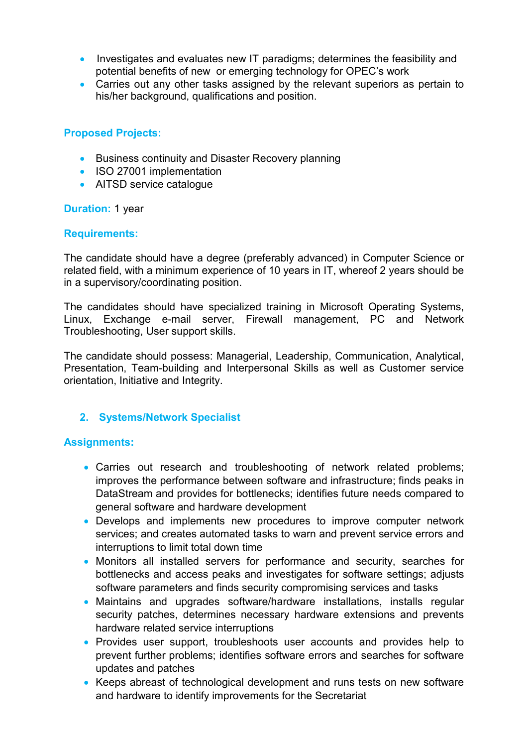- Investigates and evaluates new IT paradigms; determines the feasibility and potential benefits of new or emerging technology for OPEC's work
- Carries out any other tasks assigned by the relevant superiors as pertain to his/her background, qualifications and position.

## **Proposed Projects:**

- Business continuity and Disaster Recovery planning
- ISO 27001 implementation
- AITSD service catalogue

## **Duration: 1 year**

## **Requirements:**

The candidate should have a degree (preferably advanced) in Computer Science or related field, with a minimum experience of 10 years in IT, whereof 2 years should be in a supervisory/coordinating position.

The candidates should have specialized training in Microsoft Operating Systems, Linux, Exchange e-mail server, Firewall management, PC and Network Troubleshooting, User support skills.

The candidate should possess: Managerial, Leadership, Communication, Analytical, Presentation, Team-building and Interpersonal Skills as well as Customer service orientation, Initiative and Integrity.

## **2. Systems/Network Specialist**

## **Assignments:**

- Carries out research and troubleshooting of network related problems; improves the performance between software and infrastructure; finds peaks in DataStream and provides for bottlenecks; identifies future needs compared to general software and hardware development
- Develops and implements new procedures to improve computer network services; and creates automated tasks to warn and prevent service errors and interruptions to limit total down time
- Monitors all installed servers for performance and security, searches for bottlenecks and access peaks and investigates for software settings; adjusts software parameters and finds security compromising services and tasks
- Maintains and upgrades software/hardware installations, installs regular security patches, determines necessary hardware extensions and prevents hardware related service interruptions
- Provides user support, troubleshoots user accounts and provides help to prevent further problems; identifies software errors and searches for software updates and patches
- Keeps abreast of technological development and runs tests on new software and hardware to identify improvements for the Secretariat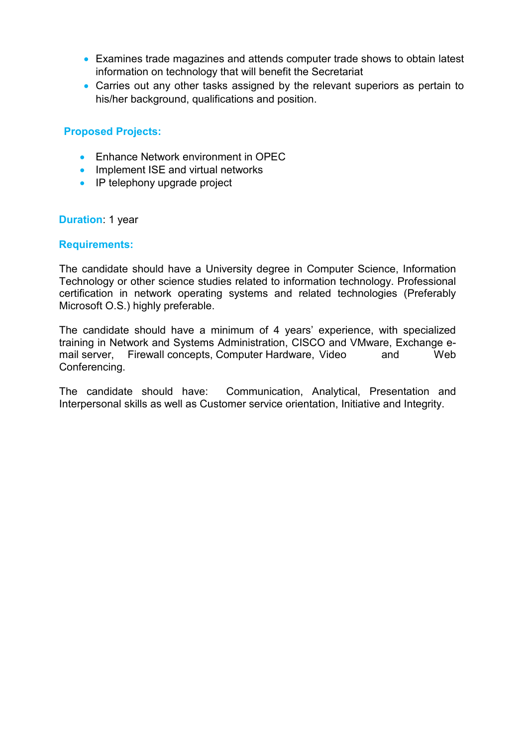- Examines trade magazines and attends computer trade shows to obtain latest information on technology that will benefit the Secretariat
- Carries out any other tasks assigned by the relevant superiors as pertain to his/her background, qualifications and position.

## **Proposed Projects:**

- Enhance Network environment in OPEC
- Implement ISE and virtual networks
- IP telephony upgrade project

## **Duration**: 1 year

## **Requirements:**

The candidate should have a University degree in Computer Science, Information Technology or other science studies related to information technology. Professional certification in network operating systems and related technologies (Preferably Microsoft O.S.) highly preferable.

The candidate should have a minimum of 4 years' experience, with specialized training in Network and Systems Administration, CISCO and VMware, Exchange email server, Firewall concepts, Computer Hardware, Video Conferencing.

The candidate should have: Communication, Analytical, Presentation and Interpersonal skills as well as Customer service orientation, Initiative and Integrity.